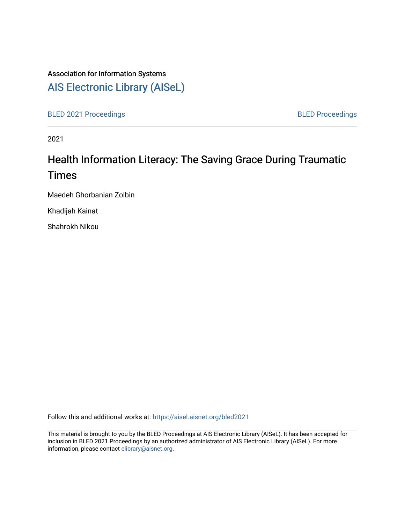## Association for Information Systems

[AIS Electronic Library \(AISeL\)](https://aisel.aisnet.org/)

[BLED 2021 Proceedings](https://aisel.aisnet.org/bled2021) **BLED Proceedings** 

2021

# Health Information Literacy: The Saving Grace During Traumatic Times

Maedeh Ghorbanian Zolbin

Khadijah Kainat

Shahrokh Nikou

Follow this and additional works at: [https://aisel.aisnet.org/bled2021](https://aisel.aisnet.org/bled2021?utm_source=aisel.aisnet.org%2Fbled2021%2F43&utm_medium=PDF&utm_campaign=PDFCoverPages) 

This material is brought to you by the BLED Proceedings at AIS Electronic Library (AISeL). It has been accepted for inclusion in BLED 2021 Proceedings by an authorized administrator of AIS Electronic Library (AISeL). For more information, please contact [elibrary@aisnet.org.](mailto:elibrary@aisnet.org%3E)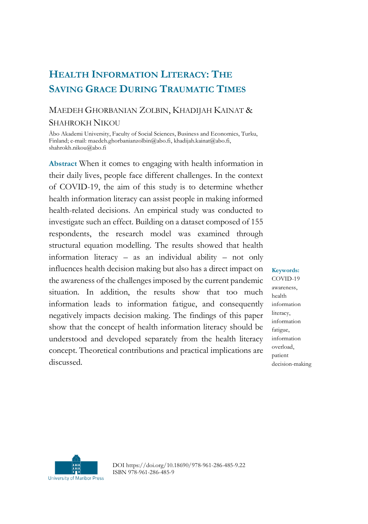## **HEALTH INFORMATION LITERACY: THE SAVING GRACE DURING TRAUMATIC TIMES**

## MAEDEH GHORBANIAN ZOLBIN, KHADIJAH KAINAT & SHAHROKH NIKOU

Åbo Akademi University, Faculty of Social Sciences, Business and Economics, Turku, Finland; e-mail: maedeh.ghorbanianzolbin@abo.fi, khadijah.kainat@abo.fi, shahrokh.nikou@abo.fi

**Abstract** When it comes to engaging with health information in their daily lives, people face different challenges. In the context of COVID-19, the aim of this study is to determine whether health information literacy can assist people in making informed health-related decisions. An empirical study was conducted to investigate such an effect. Building on a dataset composed of 155 respondents, the research model was examined through structural equation modelling. The results showed that health information literacy – as an individual ability – not only influences health decision making but also has a direct impact on the awareness of the challenges imposed by the current pandemic situation. In addition, the results show that too much information leads to information fatigue, and consequently negatively impacts decision making. The findings of this paper show that the concept of health information literacy should be understood and developed separately from the health literacy concept. Theoretical contributions and practical implications are discussed.

**Keywords:** COVID-19 awareness, health information literacy, information fatigue, information overload, patient decision-making



DOI https://doi.org/10.18690/978-961-286-485-9.22 ISBN 978-961-286-485-9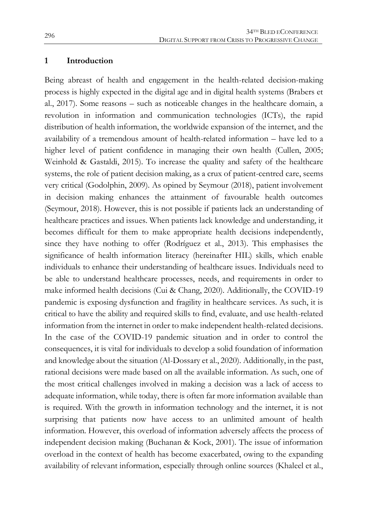#### **1 Introduction**

Being abreast of health and engagement in the health-related decision-making process is highly expected in the digital age and in digital health systems (Brabers et al., 2017). Some reasons – such as noticeable changes in the healthcare domain, a revolution in information and communication technologies (ICTs), the rapid distribution of health information, the worldwide expansion of the internet, and the availability of a tremendous amount of health-related information – have led to a higher level of patient confidence in managing their own health (Cullen, 2005; Weinhold & Gastaldi, 2015). To increase the quality and safety of the healthcare systems, the role of patient decision making, as a crux of patient-centred care, seems very critical (Godolphin, 2009). As opined by Seymour (2018), patient involvement in decision making enhances the attainment of favourable health outcomes (Seymour, 2018). However, this is not possible if patients lack an understanding of healthcare practices and issues. When patients lack knowledge and understanding, it becomes difficult for them to make appropriate health decisions independently, since they have nothing to offer (Rodríguez et al., 2013). This emphasises the significance of health information literacy (hereinafter HIL) skills, which enable individuals to enhance their understanding of healthcare issues. Individuals need to be able to understand healthcare processes, needs, and requirements in order to make informed health decisions (Cui & Chang, 2020). Additionally, the COVID-19 pandemic is exposing dysfunction and fragility in healthcare services. As such, it is critical to have the ability and required skills to find, evaluate, and use health-related information from the internet in order to make independent health-related decisions. In the case of the COVID-19 pandemic situation and in order to control the consequences, it is vital for individuals to develop a solid foundation of information and knowledge about the situation (Al-Dossary et al., 2020). Additionally, in the past, rational decisions were made based on all the available information. As such, one of the most critical challenges involved in making a decision was a lack of access to adequate information, while today, there is often far more information available than is required. With the growth in information technology and the internet, it is not surprising that patients now have access to an unlimited amount of health information. However, this overload of information adversely affects the process of independent decision making (Buchanan & Kock, 2001). The issue of information overload in the context of health has become exacerbated, owing to the expanding availability of relevant information, especially through online sources (Khaleel et al.,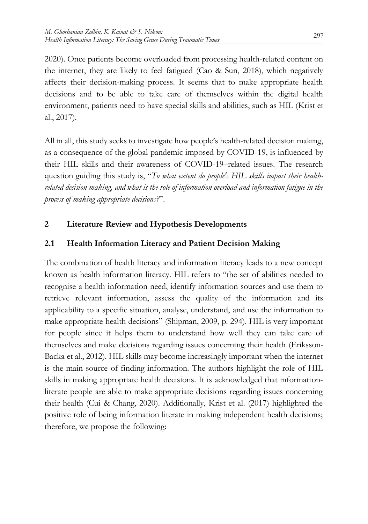2020). Once patients become overloaded from processing health-related content on the internet, they are likely to feel fatigued (Cao & Sun, 2018), which negatively affects their decision-making process. It seems that to make appropriate health decisions and to be able to take care of themselves within the digital health environment, patients need to have special skills and abilities, such as HIL (Krist et al., 2017).

All in all, this study seeks to investigate how people's health-related decision making, as a consequence of the global pandemic imposed by COVID-19, is influenced by their HIL skills and their awareness of COVID-19–related issues. The research question guiding this study is, "*To what extent do people's HIL skills impact their healthrelated decision making, and what is the role of information overload and information fatigue in the process of making appropriate decisions?*".

## **2 Literature Review and Hypothesis Developments**

## **2.1 Health Information Literacy and Patient Decision Making**

The combination of health literacy and information literacy leads to a new concept known as health information literacy. HIL refers to "the set of abilities needed to recognise a health information need, identify information sources and use them to retrieve relevant information, assess the quality of the information and its applicability to a specific situation, analyse, understand, and use the information to make appropriate health decisions" (Shipman, 2009, p. 294). HIL is very important for people since it helps them to understand how well they can take care of themselves and make decisions regarding issues concerning their health (Eriksson-Backa et al., 2012). HIL skills may become increasingly important when the internet is the main source of finding information. The authors highlight the role of HIL skills in making appropriate health decisions. It is acknowledged that informationliterate people are able to make appropriate decisions regarding issues concerning their health (Cui & Chang, 2020). Additionally, Krist et al. (2017) highlighted the positive role of being information literate in making independent health decisions; therefore, we propose the following: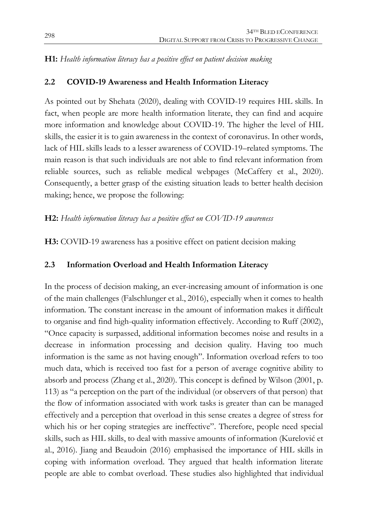## **H1:** *Health information literacy has a positive effect on patient decision making*

## **2.2 COVID-19 Awareness and Health Information Literacy**

As pointed out by Shehata (2020), dealing with COVID-19 requires HIL skills. In fact, when people are more health information literate, they can find and acquire more information and knowledge about COVID-19. The higher the level of HIL skills, the easier it is to gain awareness in the context of coronavirus. In other words, lack of HIL skills leads to a lesser awareness of COVID-19–related symptoms. The main reason is that such individuals are not able to find relevant information from reliable sources, such as reliable medical webpages (McCaffery et al., 2020). Consequently, a better grasp of the existing situation leads to better health decision making; hence, we propose the following:

#### **H2:** *Health information literacy has a positive effect on COVID-19 awareness*

**H3:** COVID-19 awareness has a positive effect on patient decision making

## **2.3 Information Overload and Health Information Literacy**

In the process of decision making, an ever-increasing amount of information is one of the main challenges (Falschlunger et al., 2016), especially when it comes to health information. The constant increase in the amount of information makes it difficult to organise and find high-quality information effectively. According to Ruff (2002), "Once capacity is surpassed, additional information becomes noise and results in a decrease in information processing and decision quality. Having too much information is the same as not having enough". Information overload refers to too much data, which is received too fast for a person of average cognitive ability to absorb and process (Zhang et al., 2020). This concept is defined by Wilson (2001, p. 113) as "a perception on the part of the individual (or observers of that person) that the flow of information associated with work tasks is greater than can be managed effectively and a perception that overload in this sense creates a degree of stress for which his or her coping strategies are ineffective". Therefore, people need special skills, such as HIL skills, to deal with massive amounts of information (Kurelović et al., 2016). Jiang and Beaudoin (2016) emphasised the importance of HIL skills in coping with information overload. They argued that health information literate people are able to combat overload. These studies also highlighted that individual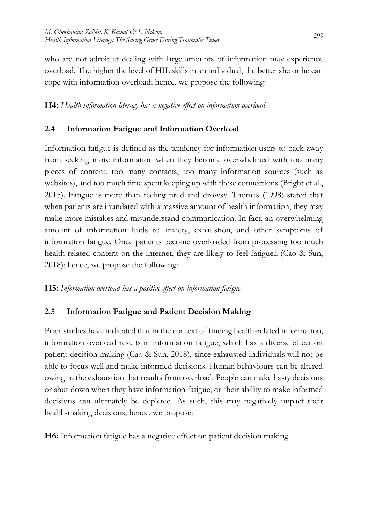who are not adroit at dealing with large amounts of information may experience overload. The higher the level of HIL skills in an individual, the better she or he can cope with information overload; hence, we propose the following:

**H4:** *Health information literacy has a negative effect on information overload*

## **2.4 Information Fatigue and Information Overload**

Information fatigue is defined as the tendency for information users to back away from seeking more information when they become overwhelmed with too many pieces of content, too many contacts, too many information sources (such as websites), and too much time spent keeping up with these connections (Bright et al., 2015). Fatigue is more than feeling tired and drowsy. Thomas (1998) stated that when patients are inundated with a massive amount of health information, they may make more mistakes and misunderstand communication. In fact, an overwhelming amount of information leads to anxiety, exhaustion, and other symptoms of information fatigue. Once patients become overloaded from processing too much health-related content on the internet, they are likely to feel fatigued (Cao & Sun, 2018); hence, we propose the following:

## **H5:** *Information overload has a positive effect on information fatigue*

## **2.5 Information Fatigue and Patient Decision Making**

Prior studies have indicated that in the context of finding health-related information, information overload results in information fatigue, which has a diverse effect on patient decision making (Cao & Sun, 2018), since exhausted individuals will not be able to focus well and make informed decisions. Human behaviours can be altered owing to the exhaustion that results from overload. People can make hasty decisions or shut down when they have information fatigue, or their ability to make informed decisions can ultimately be depleted. As such, this may negatively impact their health-making decisions; hence, we propose:

**H6:** Information fatigue has a negative effect on patient decision making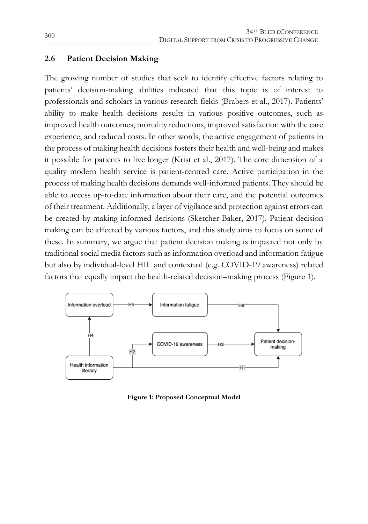## **2.6 Patient Decision Making**

The growing number of studies that seek to identify effective factors relating to patients' decision-making abilities indicated that this topic is of interest to professionals and scholars in various research fields (Brabers et al., 2017). Patients' ability to make health decisions results in various positive outcomes, such as improved health outcomes, mortality reductions, improved satisfaction with the care experience, and reduced costs. In other words, the active engagement of patients in the process of making health decisions fosters their health and well-being and makes it possible for patients to live longer (Krist et al., 2017). The core dimension of a quality modern health service is patient-centred care. Active participation in the process of making health decisions demands well-informed patients. They should be able to access up-to-date information about their care, and the potential outcomes of their treatment. Additionally, a layer of vigilance and protection against errors can be created by making informed decisions (Sketcher-Baker, 2017). Patient decision making can be affected by various factors, and this study aims to focus on some of these. In summary, we argue that patient decision making is impacted not only by traditional social media factors such as information overload and information fatigue but also by individual-level HIL and contextual (e.g. COVID-19 awareness) related factors that equally impact the health-related decision–making process (Figure 1).



**Figure 1: Proposed Conceptual Model**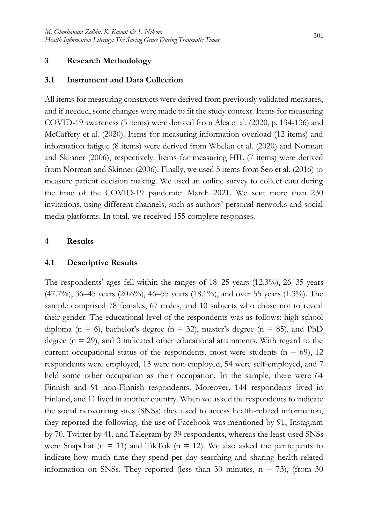## **3 Research Methodology**

### **3.1 Instrument and Data Collection**

All items for measuring constructs were derived from previously validated measures, and if needed, some changes were made to fit the study context. Items for measuring COVID-19 awareness (5 items) were derived from Alea et al. (2020, p. 134-136) and McCaffery et al. (2020). Items for measuring information overload (12 items) and information fatigue (8 items) were derived from Whelan et al. (2020) and Norman and Skinner (2006), respectively. Items for measuring HIL (7 items) were derived from Norman and Skinner (2006). Finally, we used 5 items from Seo et al. (2016) to measure patient decision making. We used an online survey to collect data during the time of the COVID-19 pandemic: March 2021. We sent more than 230 invitations, using different channels, such as authors' personal networks and social media platforms. In total, we received 155 complete responses.

### **4 Results**

#### **4.1 Descriptive Results**

The respondents' ages fell within the ranges of 18–25 years (12.3%), 26–35 years (47.7%), 36–45 years (20.6%), 46–55 years (18.1%), and over 55 years (1.3%). The sample comprised 78 females, 67 males, and 10 subjects who chose not to reveal their gender. The educational level of the respondents was as follows: high school diploma ( $n = 6$ ), bachelor's degree ( $n = 32$ ), master's degree ( $n = 85$ ), and PhD degree ( $n = 29$ ), and 3 indicated other educational attainments. With regard to the current occupational status of the respondents, most were students ( $n = 69$ ), 12 respondents were employed, 13 were non-employed, 54 were self-employed, and 7 held some other occupation as their occupation. In the sample, there were 64 Finnish and 91 non-Finnish respondents. Moreover, 144 respondents lived in Finland, and 11 lived in another country. When we asked the respondents to indicate the social networking sites (SNSs) they used to access health-related information, they reported the following: the use of Facebook was mentioned by 91, Instagram by 70, Twitter by 41, and Telegram by 39 respondents, whereas the least-used SNSs were Snapchat ( $n = 11$ ) and TikTok ( $n = 12$ ). We also asked the participants to indicate how much time they spend per day searching and sharing health-related information on SNSs. They reported (less than 30 minutes,  $n = 73$ ), (from 30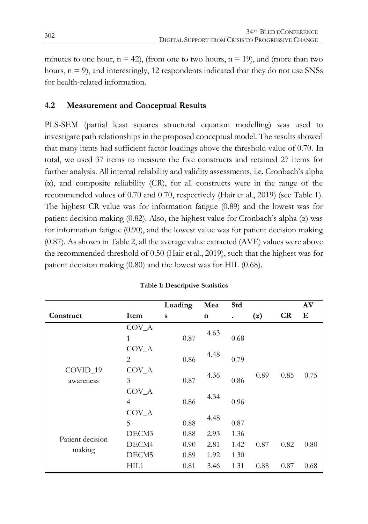minutes to one hour,  $n = 42$ ), (from one to two hours,  $n = 19$ ), and (more than two hours,  $n = 9$ ), and interestingly, 12 respondents indicated that they do not use SNSs for health-related information.

## **4.2 Measurement and Conceptual Results**

PLS-SEM (partial least squares structural equation modelling) was used to investigate path relationships in the proposed conceptual model. The results showed that many items had sufficient factor loadings above the threshold value of 0.70. In total, we used 37 items to measure the five constructs and retained 27 items for further analysis. All internal reliability and validity assessments, i.e. Cronbach's alpha  $(\alpha)$ , and composite reliability (CR), for all constructs were in the range of the recommended values of 0.70 and 0.70, respectively (Hair et al., 2019) (see Table 1). The highest CR value was for information fatigue (0.89) and the lowest was for patient decision making (0.82). Also, the highest value for Cronbach's alpha  $(\alpha)$  was for information fatigue (0.90), and the lowest value was for patient decision making (0.87). As shown in Table 2, all the average value extracted (AVE) values were above the recommended threshold of 0.50 (Hair et al., 2019), such that the highest was for patient decision making (0.80) and the lowest was for HIL (0.68).

|                            |                   | Loading   | Mea  | Std       |            |      | AV   |
|----------------------------|-------------------|-----------|------|-----------|------------|------|------|
| Construct                  | Item              | ${\bf s}$ | n    | $\bullet$ | $(\alpha)$ | CR   | E    |
| COVID_19<br>awareness      | $COV_A$           |           | 4.63 |           |            |      |      |
|                            | $\mathbf{1}$      | 0.87      |      | 0.68      |            |      |      |
|                            | $COV_A$           |           |      |           |            |      |      |
|                            | 2                 | 0.86      | 4.48 | 0.79      |            |      |      |
|                            | $COV_A$           |           | 4.36 |           | 0.89       | 0.85 |      |
|                            | 3                 | 0.87      |      | 0.86      |            |      | 0.75 |
|                            | $COV_A$           |           |      |           |            |      |      |
|                            | $\overline{4}$    | 0.86      | 4.34 | 0.96      |            |      |      |
|                            | $COV_A$           |           |      |           |            |      |      |
| Patient decision<br>making | 5                 | 0.88      | 4.48 | 0.87      |            |      |      |
|                            | DECM3             | 0.88      | 2.93 | 1.36      |            |      |      |
|                            | DECM4             | 0.90      | 2.81 | 1.42      | 0.87       | 0.82 | 0.80 |
|                            | DECM <sub>5</sub> | 0.89      | 1.92 | 1.30      |            |      |      |
|                            | HIL1              | 0.81      | 3.46 | 1.31      | 0.88       | 0.87 | 0.68 |

#### **Table 1: Descriptive Statistics**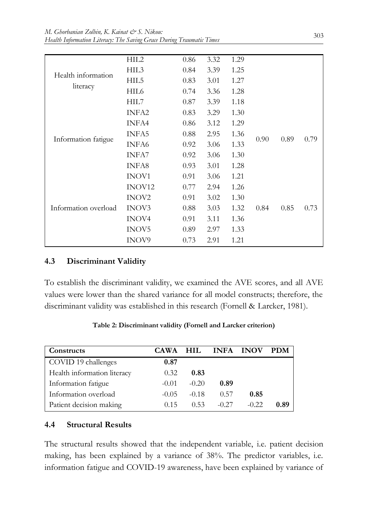| Health information<br>literacy | HIL2               | 0.86 | 3.32 | 1.29 |      |      |      |
|--------------------------------|--------------------|------|------|------|------|------|------|
|                                | HIL3               | 0.84 | 3.39 | 1.25 |      |      |      |
|                                | HIL5               | 0.83 | 3.01 | 1.27 |      |      |      |
|                                | HIL6               | 0.74 | 3.36 | 1.28 |      |      |      |
|                                | HIL7               | 0.87 | 3.39 | 1.18 |      |      |      |
| Information fatigue            | <b>INFA2</b>       | 0.83 | 3.29 | 1.30 |      |      |      |
|                                | INFA4              | 0.86 | 3.12 | 1.29 |      |      |      |
|                                | INFA5              | 0.88 | 2.95 | 1.36 | 0.90 | 0.89 | 0.79 |
|                                | <b>INFA6</b>       | 0.92 | 3.06 | 1.33 |      |      |      |
|                                | <b>INFA7</b>       | 0.92 | 3.06 | 1.30 |      |      |      |
|                                | <b>INFA8</b>       | 0.93 | 3.01 | 1.28 |      |      |      |
|                                | INOV <sub>1</sub>  | 0.91 | 3.06 | 1.21 |      |      |      |
| Information overload           | INOV <sub>12</sub> | 0.77 | 2.94 | 1.26 |      |      |      |
|                                | INOV <sub>2</sub>  | 0.91 | 3.02 | 1.30 |      |      |      |
|                                | INOV3              | 0.88 | 3.03 | 1.32 | 0.84 | 0.85 | 0.73 |
|                                | INOV <sub>4</sub>  | 0.91 | 3.11 | 1.36 |      |      |      |
|                                | INOV5              | 0.89 | 2.97 | 1.33 |      |      |      |
|                                | INOV9              | 0.73 | 2.91 | 1.21 |      |      |      |

## **4.3 Discriminant Validity**

To establish the discriminant validity, we examined the AVE scores, and all AVE values were lower than the shared variance for all model constructs; therefore, the discriminant validity was established in this research (Fornell & Larcker, 1981).

| Constructs                  | <b>CAWA</b> | <b>HIL</b> |         | INFA INOV | <b>PDM</b> |
|-----------------------------|-------------|------------|---------|-----------|------------|
| COVID 19 challenges         | 0.87        |            |         |           |            |
| Health information literacy | 0.32        | 0.83       |         |           |            |
| Information fatigue         | $-0.01$     | $-0.20$    | 0.89    |           |            |
| Information overload        | $-0.05$     | $-0.18$    | 0.57    | 0.85      |            |
| Patient decision making     | 0.15        | 0.53       | $-0.27$ | $-0.22$   | 0.89       |

**Table 2: Discriminant validity (Fornell and Larcker criterion)**

## **4.4 Structural Results**

The structural results showed that the independent variable, i.e. patient decision making, has been explained by a variance of 38%. The predictor variables, i.e. information fatigue and COVID-19 awareness, have been explained by variance of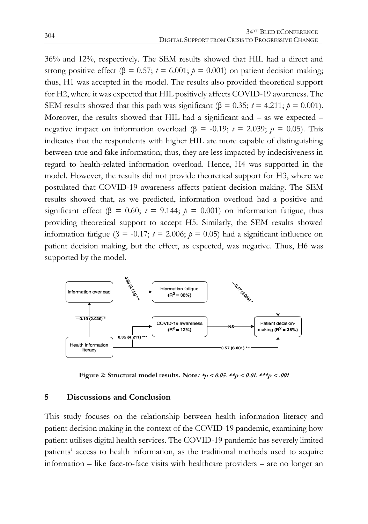36% and 12%, respectively. The SEM results showed that HIL had a direct and strong positive effect ( $\beta = 0.57$ ;  $t = 6.001$ ;  $p = 0.001$ ) on patient decision making; thus, H1 was accepted in the model. The results also provided theoretical support for H2, where it was expected that HIL positively affects COVID-19 awareness. The SEM results showed that this path was significant (β = 0.35;  $t = 4.211$ ;  $p = 0.001$ ). Moreover, the results showed that HIL had a significant and  $-$  as we expected  $$ negative impact on information overload ( $\beta$  = -0.19;  $t = 2.039$ ;  $p = 0.05$ ). This indicates that the respondents with higher HIL are more capable of distinguishing between true and fake information; thus, they are less impacted by indecisiveness in regard to health-related information overload. Hence, H4 was supported in the model. However, the results did not provide theoretical support for H3, where we postulated that COVID-19 awareness affects patient decision making. The SEM results showed that, as we predicted, information overload had a positive and significant effect ( $\beta$  = 0.60;  $t = 9.144$ ;  $p = 0.001$ ) on information fatigue, thus providing theoretical support to accept H5. Similarly, the SEM results showed information fatigue (β = -0.17;  $t = 2.006$ ;  $p = 0.05$ ) had a significant influence on patient decision making, but the effect, as expected, was negative. Thus, H6 was supported by the model.



**Figure 2: Structural model results. Note: \*p < 0.05. \*\*p < 0.01. \*\*\*p < .001**

## **5 Discussions and Conclusion**

This study focuses on the relationship between health information literacy and patient decision making in the context of the COVID-19 pandemic, examining how patient utilises digital health services. The COVID-19 pandemic has severely limited patients' access to health information, as the traditional methods used to acquire information – like face-to-face visits with healthcare providers – are no longer an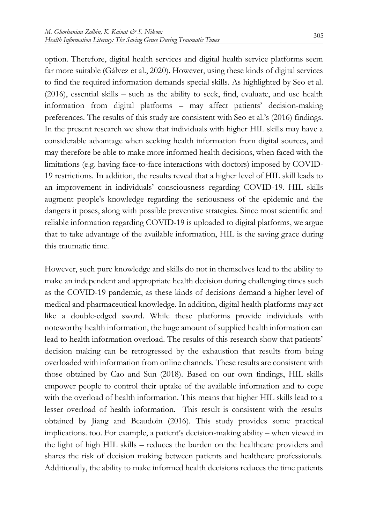option. Therefore, digital health services and digital health service platforms seem far more suitable (Gálvez et al., 2020). However, using these kinds of digital services to find the required information demands special skills. As highlighted by Seo et al. (2016), essential skills – such as the ability to seek, find, evaluate, and use health information from digital platforms – may affect patients' decision-making preferences. The results of this study are consistent with Seo et al.'s (2016) findings. In the present research we show that individuals with higher HIL skills may have a considerable advantage when seeking health information from digital sources, and may therefore be able to make more informed health decisions, when faced with the limitations (e.g. having face-to-face interactions with doctors) imposed by COVID-19 restrictions. In addition, the results reveal that a higher level of HIL skill leads to an improvement in individuals' consciousness regarding COVID-19. HIL skills augment people's knowledge regarding the seriousness of the epidemic and the dangers it poses, along with possible preventive strategies. Since most scientific and reliable information regarding COVID-19 is uploaded to digital platforms, we argue that to take advantage of the available information, HIL is the saving grace during this traumatic time.

However, such pure knowledge and skills do not in themselves lead to the ability to make an independent and appropriate health decision during challenging times such as the COVID-19 pandemic, as these kinds of decisions demand a higher level of medical and pharmaceutical knowledge. In addition, digital health platforms may act like a double-edged sword. While these platforms provide individuals with noteworthy health information, the huge amount of supplied health information can lead to health information overload. The results of this research show that patients' decision making can be retrogressed by the exhaustion that results from being overloaded with information from online channels. These results are consistent with those obtained by Cao and Sun (2018). Based on our own findings, HIL skills empower people to control their uptake of the available information and to cope with the overload of health information. This means that higher HIL skills lead to a lesser overload of health information. This result is consistent with the results obtained by Jiang and Beaudoin (2016). This study provides some practical implications. too. For example, a patient's decision-making ability – when viewed in the light of high HIL skills – reduces the burden on the healthcare providers and shares the risk of decision making between patients and healthcare professionals. Additionally, the ability to make informed health decisions reduces the time patients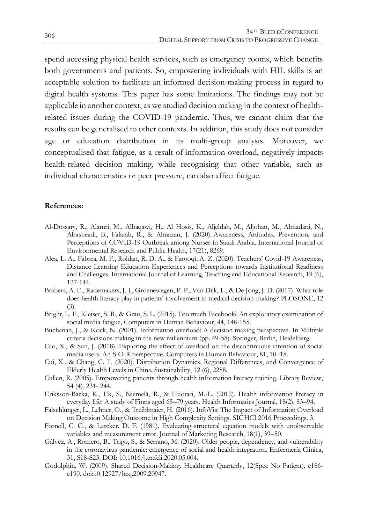spend accessing physical health services, such as emergency rooms, which benefits both governments and patients. So, empowering individuals with HIL skills is an acceptable solution to facilitate an informed decision-making process in regard to digital health systems. This paper has some limitations. The findings may not be applicable in another context, as we studied decision making in the context of healthrelated issues during the COVID-19 pandemic. Thus, we cannot claim that the results can be generalised to other contexts. In addition, this study does not consider age or education distribution in its multi-group analysis. Moreover, we conceptualised that fatigue, as a result of information overload, negatively impacts health-related decision making, while recognising that other variable, such as individual characteristics or peer pressure, can also affect fatigue.

#### **References:**

- Al-Dossary, R., Alamri, M., Albaqawi, H., Al Hosis, K., Aljeldah, M., Aljohan, M., Almadani, N., Alrasheadi, B., Falatah, R., & Almazan, J. (2020). Awareness, Attitudes, Prevention, and Perceptions of COVID-19 Outbreak among Nurses in Saudi Arabia. International Journal of Environmental Research and Public Health, 17(21), 8269.
- Alea, L. A., Fabrea, M. F., Roldan, R. D. A., & Farooqi, A. Z. (2020). Teachers' Covid-19 Awareness, Distance Learning Education Experiences and Perceptions towards Institutional Readiness and Challenges. International Journal of Learning, Teaching and Educational Research, 19 (6), 127-144.
- Brabers, A. E., Rademakers, J. J., Groenewegen, P. P., Van Dijk, L., & De Jong, J. D. (2017). What role does health literacy play in patients' involvement in medical decision-making? PLOSONE, 12 (3).
- Bright, L. F., Kleiser, S. B., & Grau, S. L. (2015). Too much Facebook? An exploratory examination of social media fatigue, Computers in Human Behaviour, 44, 148-155.
- Buchanan, J., & Kock, N. (2001). Information overload: A decision making perspective. In Multiple criteria decisions making in the new millennium (pp. 49-58). Springer, Berlin, Heidelberg.
- Cao, X., & Sun, J. (2018). Exploring the effect of overload on the discontinuous intention of social media users: An S-O-R perspective. Computers in Human Behaviour, 81, 10–18.
- Cui, X., & Chang, C. T. (2020). Distribution Dynamics, Regional Differences, and Convergence of Elderly Health Levels in China. Sustainability, 12 (6), 2288.
- Cullen, R. (2005). Empowering patients through health information literacy training. Library Review, 54 (4), 231- 244.
- Eriksson-Backa, K., Ek, S., Niemelä, R., & Huotari, M.-L. (2012). Health information literacy in everyday life: A study of Finns aged 65–79 years. Health Informatics Journal, 18(2), 83–94.
- Falschlunger, L., Lehner, O., & Treiblmaier, H. (2016). InfoVis: The Impact of Information Overload on Decision Making Outcome in High Complexity Settings. SIGHCI 2016 Proceedings. 3.
- Fornell, C. G., & Larcker. D. F. (1981). Evaluating structural equation models with unobservable variables and measurement error. Journal of Marketing Research, 18(1), 39–50.
- Gálvez, A., Romero, B., Trigo, S., & Serrano, M. (2020). Older people, dependency, and vulnerability in the coronavirus pandemic: emergence of social and health integration. Enfermería Clinica, 31, S18-S23. DOI: 10.1016/j.enfcli.2020.05.004.
- Godolphin, W. (2009). Shared Decision-Making. Healthcare Quarterly, 12(Spec No Patient), e186 e190. doi:10.12927/hcq.2009.20947.